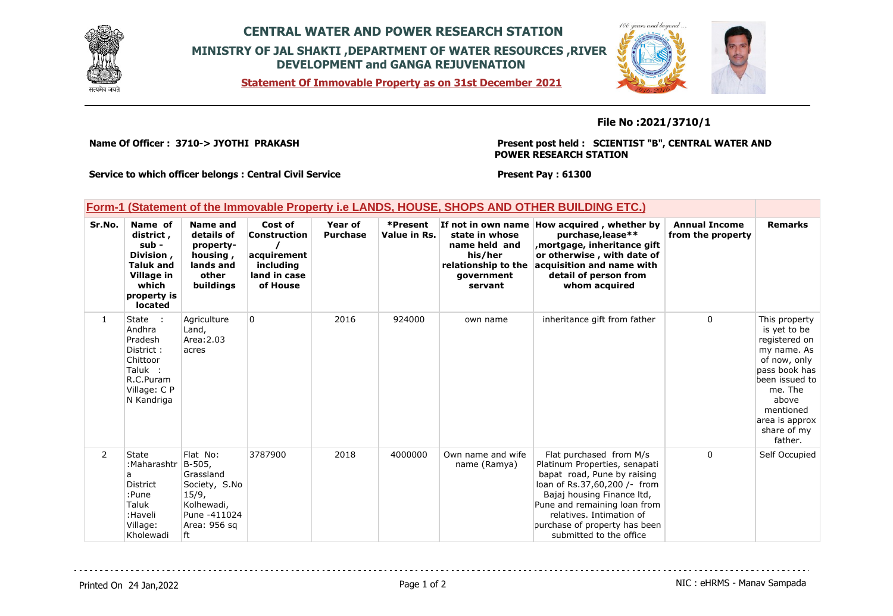

## **CENTRAL WATER AND POWER RESEARCH STATION MINISTRY OF JAL SHAKTI ,DEPARTMENT OF WATER RESOURCES ,RIVER DEVELOPMENT and GANGA REJUVENATION**

**Statement Of Immovable Property as on 31st December 2021**



**File No :2021/3710/1**

**Name Of Officer : 3710-> JYOTHI PRAKASH** 

**Present post held : SCIENTIST "B", CENTRAL WATER AND POWER RESEARCH STATION**

**Service to which officer belongs : Central Civil Service**

**Present Pay : 61300**

|              | Form-1 (Statement of the Immovable Property i.e LANDS, HOUSE, SHOPS AND OTHER BUILDING ETC.)                           |                                                                                                               |                                                                                        |                            |                          |                                                                                            |                                                                                                                                                                                                                                                                               |                                           |                                                                                                                                                                                               |
|--------------|------------------------------------------------------------------------------------------------------------------------|---------------------------------------------------------------------------------------------------------------|----------------------------------------------------------------------------------------|----------------------------|--------------------------|--------------------------------------------------------------------------------------------|-------------------------------------------------------------------------------------------------------------------------------------------------------------------------------------------------------------------------------------------------------------------------------|-------------------------------------------|-----------------------------------------------------------------------------------------------------------------------------------------------------------------------------------------------|
| Sr.No.       | Name of<br>district,<br>sub -<br>Division,<br><b>Taluk and</b><br>Village in<br>which<br>property is<br>located        | <b>Name and</b><br>details of<br>property-<br>housing,<br>lands and<br>other<br>buildings                     | Cost of<br><b>Construction</b><br>acquirement<br>including<br>land in case<br>of House | Year of<br><b>Purchase</b> | *Present<br>Value in Rs. | state in whose<br>name held and<br>his/her<br>relationship to the<br>government<br>servant | If not in own name How acquired, whether by<br>purchase, lease**<br>mortgage, inheritance gift,<br>or otherwise, with date of<br>acquisition and name with<br>detail of person from<br>whom acquired                                                                          | <b>Annual Income</b><br>from the property | <b>Remarks</b>                                                                                                                                                                                |
| $\mathbf{1}$ | State<br>$\sim$ 1.<br>Andhra<br>Pradesh<br>District:<br>Chittoor<br>Taluk :<br>R.C.Puram<br>Village: C P<br>N Kandriga | Agriculture<br>Land,<br>Area: 2.03<br>acres                                                                   | 0                                                                                      | 2016                       | 924000                   | own name                                                                                   | inheritance gift from father                                                                                                                                                                                                                                                  | 0                                         | This property<br>is yet to be<br>registered on<br>my name. As<br>of now, only<br>pass book has<br>been issued to<br>me. The<br>above<br>mentioned<br>area is approx<br>share of my<br>father. |
| 2            | State<br>:Maharashtr<br>а<br><b>District</b><br>:Pune<br>Taluk<br>:Haveli<br>Village:<br>Kholewadi                     | Flat No:<br>B-505,<br>Grassland<br>Society, S.No<br>15/9,<br>Kolhewadi,<br>Pune -411024<br>Area: 956 sq<br>ft | 3787900                                                                                | 2018                       | 4000000                  | Own name and wife<br>name (Ramya)                                                          | Flat purchased from M/s<br>Platinum Properties, senapati<br>bapat road, Pune by raising<br>loan of Rs.37,60,200 /- from<br>Bajaj housing Finance Itd,<br>Pune and remaining loan from<br>relatives. Intimation of<br>purchase of property has been<br>submitted to the office | 0                                         | Self Occupied                                                                                                                                                                                 |

<u>. . . . . . . . . . . .</u>